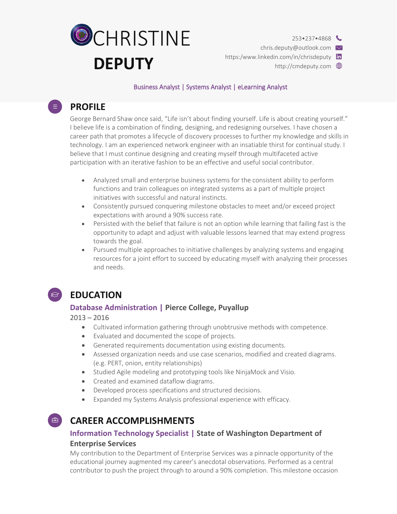

chris.deputy@outlook.com

https:/www.linkedin.com/in/chrisdeputy in

http://cmdeputy.com

#### Business Analyst | Systems Analyst | eLearning Analyst

# **PROFILE**

 $\equiv$ )

George Bernard Shaw once said, "Life isn't about finding yourself. Life is about creating yourself." I believe life is a combination of finding, designing, and redesigning ourselves. I have chosen a career path that promotes a lifecycle of discovery processes to further my knowledge and skills in technology. I am an experienced network engineer with an insatiable thirst for continual study. I believe that I must continue designing and creating myself through multifaceted active participation with an iterative fashion to be an effective and useful social contributor.

- Analyzed small and enterprise business systems for the consistent ability to perform functions and train colleagues on integrated systems as a part of multiple project initiatives with successful and natural instincts.
- Consistently pursued conquering milestone obstacles to meet and/or exceed project expectations with around a 90% success rate.
- Persisted with the belief that failure is not an option while learning that failing fast is the opportunity to adapt and adjust with valuable lessons learned that may extend progress towards the goal.
- Pursued multiple approaches to initiative challenges by analyzing systems and engaging resources for a joint effort to succeed by educating myself with analyzing their processes and needs.



## **EDUCATION**

### **Database Administration | Pierce College, Puyallup**

2013 – 2016

- Cultivated information gathering through unobtrusive methods with competence.
- Evaluated and documented the scope of projects.
- Generated requirements documentation using existing documents.
- Assessed organization needs and use case scenarios, modified and created diagrams. (e.g. PERT, onion, entity relationships)
- Studied Agile modeling and prototyping tools like NinjaMock and Visio.
- Created and examined dataflow diagrams.
- Developed process specifications and structured decisions.
- Expanded my Systems Analysis professional experience with efficacy.

## **CAREER ACCOMPLISHMENTS**

## **Information Technology Specialist | State of Washington Department of Enterprise Services**

My contribution to the Department of Enterprise Services was a pinnacle opportunity of the educational journey augmented my career's anecdotal observations. Performed as a central contributor to push the project through to around a 90% completion. This milestone occasion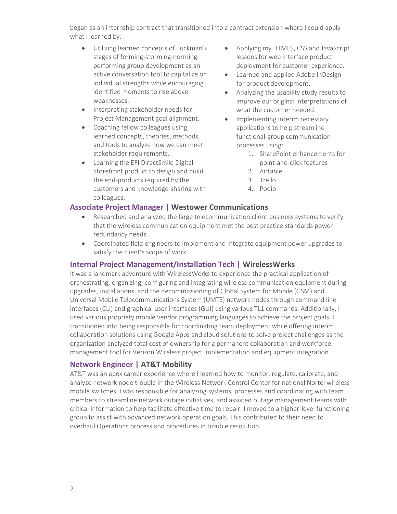began as an internship contract that transitioned into a contract extension where I could apply what I learned by:

- Utilizing learned concepts of Tuckman's stages of forming-storming-normingperforming group development as an active conversation tool to capitalize on individual strengths while encouraging identified moments to rise above weaknesses.
- Interpreting stakeholder needs for Project Management goal alignment.
- Coaching fellow colleagues using learned concepts, theories, methods, and tools to analyze how we can meet stakeholder requirements.
- Learning the EFI DirectSmile Digital Storefront product to design and build the end-products required by the customers and knowledge-sharing with colleagues.
- Applying my HTML5, CSS and JavaScript lessons for web interface product deployment for customer experience.
- Learned and applied Adobe InDesign for product development.
- Analyzing the usability study results to improve our original interpretations of what the customer needed.
- Implementing interim necessary applications to help streamline functional-group communication processes using:
	- 1. SharePoint enhancements for point-and-click features
	- 2. Airtable
	- 3. Trello
	- 4. Podio

### **Associate Project Manager | Westower Communications**

- Researched and analyzed the large telecommunication client business systems to verify that the wireless communication equipment met the best practice standards power redundancy needs.
- Coordinated field engineers to implement and integrate equipment power upgrades to satisfy the client's scope of work.

#### **Internal Project Management/Installation Tech | WirelessWerks**

It was a landmark adventure with WirelessWerks to experience the practical application of orchestrating, organizing, configuring and integrating wireless communication equipment during upgrades, installations, and the decommissioning of Global System for Mobile (GSM) and Universal Mobile Telecommunications System (UMTS) network nodes through command line interfaces (CLI) and graphical user interfaces (GUI) using various TL1 commands. Additionally, I used various propriety mobile vendor programming languages to achieve the project goals. I transitioned into being responsible for coordinating team deployment while offering interim collaboration solutions using Google Apps and cloud solutions to solve project challenges as the organization analyzed total cost of ownership for a permanent collaboration and workforce management tool for Verizon Wireless project implementation and equipment integration.

### **Network Engineer | AT&T Mobility**

AT&T was an apex career experience where I learned how to monitor, regulate, calibrate, and analyze network node trouble in the Wireless Network Control Center for national Nortel wireless mobile switches. I was responsible for analyzing systems, processes and coordinating with team members to streamline network outage initiatives, and assisted outage management teams with critical information to help facilitate effective time to repair. I moved to a higher-level functioning group to assist with advanced network operation goals. This contributed to their need to overhaul Operations process and procedures in trouble resolution.